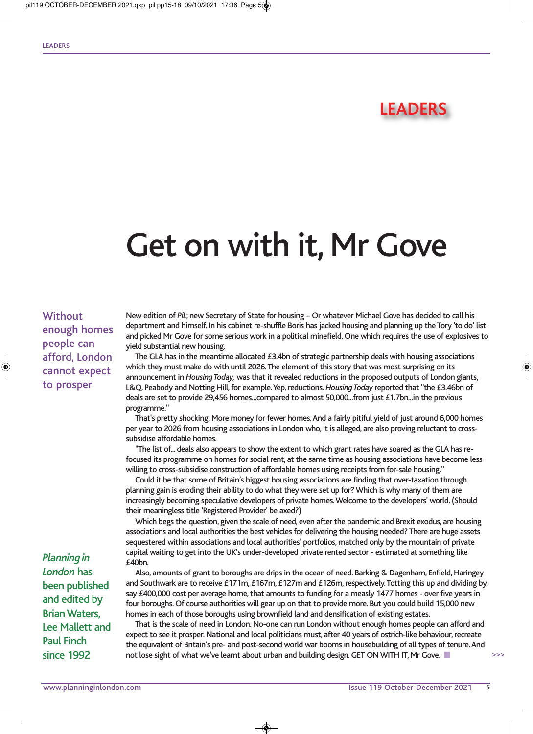## **LEADERS**

## Get on with it, Mr Gove

## **Without** enough homes people can afford, London cannot expect to prosper

New edition of *PiL*; new Secretary of State for housing – Or whatever Michael Gove has decided to call his department and himself. In his cabinet re-shuffle Boris has jacked housing and planning up the Tory 'to do' list and picked Mr Gove for some serious work in a political minefield. One which requires the use of explosives to yield substantial new housing.

The GLA has in the meantime allocated  $£3.4$ bn of strategic partnership deals with housing associations which they must make do with until 2026. The element of this story that was most surprising on its announcement in *Housing Today,* was that it revealed reductions in the proposed outputs of London giants, L&Q, Peabody and Notting Hill, for example. Yep, reductions. *Housing Today* reported that "the £3.46bn of deals are set to provide 29,456 homes...compared to almost 50,000...from just £1.7bn...in the previous programme."

That's pretty shocking. More money for fewer homes. And a fairly pitiful yield of just around 6,000 homes per year to 2026 from housing associations in London who, it is alleged, are also proving reluctant to crosssubsidise affordable homes.

"The list of... deals also appears to show the extent to which grant rates have soared as the GLA has refocused its programme on homes for social rent, at the same time as housing associations have become less willing to cross-subsidise construction of affordable homes using receipts from for-sale housing."

Could it be that some of Britain's biggest housing associations are finding that over-taxation through planning gain is eroding their ability to do what they were set up for? Which is why many of them are increasingly becoming speculative developers of private homes. Welcome to the developers' world. (Should their meaningless title 'Registered Provider' be axed?)

Which begs the question, given the scale of need, even after the pandemic and Brexit exodus, are housing associations and local authorities the best vehicles for delivering the housing needed? There are huge assets sequestered within associations and local authorities' portfolios, matched only by the mountain of private capital waiting to get into the UK's under-developed private rented sector - estimated at something like £40bn.

Also, amounts of grant to boroughs are drips in the ocean of need. Barking & Dagenham, Enfield, Haringey and Southwark are to receive £171m, £167m, £127m and £126m, respectively. Totting this up and dividing by, say £400,000 cost per average home, that amounts to funding for a measly 1477 homes - over five years in four boroughs. Of course authorities will gear up on that to provide more. But you could build 15,000 new homes in each of those boroughs using brownfield land and densification of existing estates.

That is the scale of need in London. No-one can run London without enough homes people can afford and expect to see it prosper. National and local politicians must, after 40 years of ostrich-like behaviour, recreate the equivalent of Britain's pre- and post-second world war booms in housebuilding of all types of tenure. And not lose sight of what we've learnt about urban and building design. GET ON WITH IT, Mr Gove.

◈

*Planning in London* has been published and edited by Brian Waters, Lee Mallett and Paul Finch since 1992

>>>